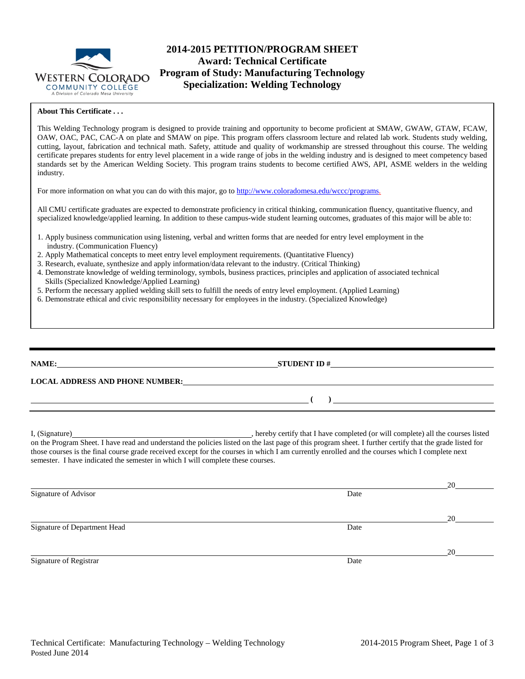

# **2014-2015 PETITION/PROGRAM SHEET Award: Technical Certificate Program of Study: Manufacturing Technology Specialization: Welding Technology**

#### **About This Certificate . . .**

This Welding Technology program is designed to provide training and opportunity to become proficient at SMAW, GWAW, GTAW, FCAW, OAW, OAC, PAC, CAC-A on plate and SMAW on pipe. This program offers classroom lecture and related lab work. Students study welding, cutting, layout, fabrication and technical math. Safety, attitude and quality of workmanship are stressed throughout this course. The welding certificate prepares students for entry level placement in a wide range of jobs in the welding industry and is designed to meet competency based standards set by the American Welding Society. This program trains students to become certified AWS, API, ASME welders in the welding industry.

For more information on what you can do with this major, go to [http://www.coloradomesa.edu/wccc/programs.](http://www.coloradomesa.edu/wccc/programs)

All CMU certificate graduates are expected to demonstrate proficiency in critical thinking, communication fluency, quantitative fluency, and specialized knowledge/applied learning. In addition to these campus-wide student learning outcomes, graduates of this major will be able to:

- 1. Apply business communication using listening, verbal and written forms that are needed for entry level employment in the industry. (Communication Fluency)
- 2. Apply Mathematical concepts to meet entry level employment requirements. (Quantitative Fluency)
- 3. Research, evaluate, synthesize and apply information/data relevant to the industry. (Critical Thinking)
- 4. Demonstrate knowledge of welding terminology, symbols, business practices, principles and application of associated technical Skills (Specialized Knowledge/Applied Learning)
- 5. Perform the necessary applied welding skill sets to fulfill the needs of entry level employment. (Applied Learning)
- 6. Demonstrate ethical and civic responsibility necessary for employees in the industry. (Specialized Knowledge)

| NAME: 2008 2010 2020 2020 2020 2021 2021 2022 2021 2022 2021 2022 2022 2022 2022 2022 2022 2022 2022 2022 2022                                                                                                                 |                                                                                                                                                                                                                                                                                                                                                                                   |  |
|--------------------------------------------------------------------------------------------------------------------------------------------------------------------------------------------------------------------------------|-----------------------------------------------------------------------------------------------------------------------------------------------------------------------------------------------------------------------------------------------------------------------------------------------------------------------------------------------------------------------------------|--|
| LOCAL ADDRESS AND PHONE NUMBER: The contract of the contract of the contract of the contract of the contract of the contract of the contract of the contract of the contract of the contract of the contract of the contract o |                                                                                                                                                                                                                                                                                                                                                                                   |  |
|                                                                                                                                                                                                                                | $\begin{picture}(150,10) \put(0,0){\dashbox{0.5}(10,0){ }} \put(150,0){\circle{10}} \put(150,0){\circle{10}} \put(150,0){\circle{10}} \put(150,0){\circle{10}} \put(150,0){\circle{10}} \put(150,0){\circle{10}} \put(150,0){\circle{10}} \put(150,0){\circle{10}} \put(150,0){\circle{10}} \put(150,0){\circle{10}} \put(150,0){\circle{10}} \put(150,0){\circle{10}} \put(150,$ |  |
| semester. I have indicated the semester in which I will complete these courses.                                                                                                                                                | on the Program Sheet. I have read and understand the policies listed on the last page of this program sheet. I further certify that the grade listed for<br>those courses is the final course grade received except for the courses in which I am currently enrolled and the courses which I complete next                                                                        |  |
|                                                                                                                                                                                                                                | 20                                                                                                                                                                                                                                                                                                                                                                                |  |
| Signature of Advisor                                                                                                                                                                                                           | Date                                                                                                                                                                                                                                                                                                                                                                              |  |

Signature of Department Head Date

Signature of Registrar Date

20

20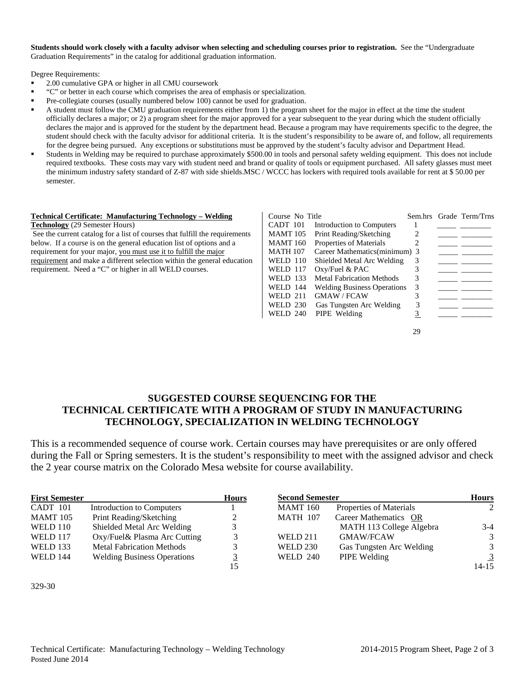**Students should work closely with a faculty advisor when selecting and scheduling courses prior to registration.** See the "Undergraduate Graduation Requirements" in the catalog for additional graduation information.

Degree Requirements:

- 2.00 cumulative GPA or higher in all CMU coursework
- "C" or better in each course which comprises the area of emphasis or specialization.
- Pre-collegiate courses (usually numbered below 100) cannot be used for graduation.
- A student must follow the CMU graduation requirements either from 1) the program sheet for the major in effect at the time the student officially declares a major; or 2) a program sheet for the major approved for a year subsequent to the year during which the student officially declares the major and is approved for the student by the department head. Because a program may have requirements specific to the degree, the student should check with the faculty advisor for additional criteria. It is the student's responsibility to be aware of, and follow, all requirements for the degree being pursued. Any exceptions or substitutions must be approved by the student's faculty advisor and Department Head.
- Students in Welding may be required to purchase approximately \$500.00 in tools and personal safety welding equipment. This does not include required textbooks. These costs may vary with student need and brand or quality of tools or equipment purchased. All safety glasses must meet the minimum industry safety standard of Z-87 with side shields.MSC / WCCC has lockers with required tools available for rent at \$ 50.00 per semester.

#### **Technical Certificate: Manufacturing Technology – Welding**

**Technology** (29 Semester Hours)

See the current catalog for a list of courses that fulfill the requirements below. If a course is on the general education list of options and a requirement for your major, you must use it to fulfill the major requirement and make a different selection within the general education requirement. Need a "C" or higher in all WELD courses.

| Course No Title |                                    |   | Sem.hrs Grade Term/Trns |
|-----------------|------------------------------------|---|-------------------------|
| CADT 101        | Introduction to Computers          |   |                         |
| <b>MAMT</b> 105 | Print Reading/Sketching            |   |                         |
| <b>MAMT</b> 160 | Properties of Materials            |   |                         |
| <b>MATH 107</b> | Career Mathematics (minimum) 3     |   |                         |
| WELD 110        | Shielded Metal Arc Welding         |   |                         |
| <b>WELD 117</b> | $Oxy$ Fuel & PAC                   |   |                         |
| WELD 133        | <b>Metal Fabrication Methods</b>   | 3 |                         |
| WELD 144        | <b>Welding Business Operations</b> | 3 |                         |
| <b>WELD 211</b> | <b>GMAW/FCAW</b>                   | 3 |                         |
| WELD 230        | Gas Tungsten Arc Welding           | 3 |                         |
| WELD 240        | PIPE Welding                       |   |                         |
|                 |                                    |   |                         |

29

## **SUGGESTED COURSE SEQUENCING FOR THE TECHNICAL CERTIFICATE WITH A PROGRAM OF STUDY IN MANUFACTURING TECHNOLOGY, SPECIALIZATION IN WELDING TECHNOLOGY**

This is a recommended sequence of course work. Certain courses may have prerequisites or are only offered during the Fall or Spring semesters. It is the student's responsibility to meet with the assigned advisor and check the 2 year course matrix on the Colorado Mesa website for course availability.

| <b>First Semester</b> |                                    | <b>Hours</b> |                 | <b>Second Semester</b>   |           |  |
|-----------------------|------------------------------------|--------------|-----------------|--------------------------|-----------|--|
| CADT 101              | Introduction to Computers          |              | <b>MAMT</b> 160 | Properties of Materials  | 2         |  |
| <b>MAMT</b> 105       | Print Reading/Sketching            |              | <b>MATH 107</b> | Career Mathematics OR    |           |  |
| <b>WELD 110</b>       | Shielded Metal Arc Welding         |              |                 | MATH 113 College Algebra | $3-4$     |  |
| WELD 117              | Oxy/Fuel& Plasma Arc Cutting       |              | <b>WELD 211</b> | <b>GMAW/FCAW</b>         | 3         |  |
| <b>WELD 133</b>       | <b>Metal Fabrication Methods</b>   |              | WELD 230        | Gas Tungsten Arc Welding | 3         |  |
| <b>WELD 144</b>       | <b>Welding Business Operations</b> |              | WELD 240        | PIPE Welding             | 3         |  |
|                       |                                    |              |                 |                          | $14 - 15$ |  |

<sup>329-30</sup>